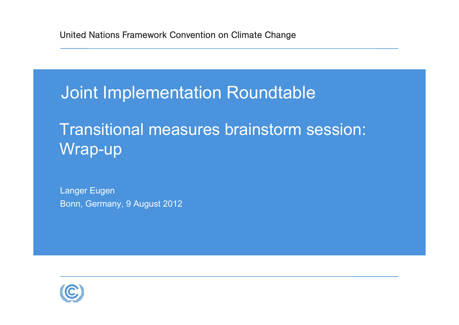## Joint Implementation Roundtable

## Transitional measures brainstorm session: Wrap-up

Langer Eugen Bonn, Germany, 9 August 2012

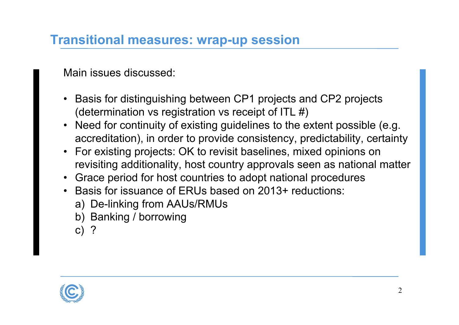## **Transitional measures: wrap-up session**

Main issues discussed:

- • Basis for distinguishing between CP1 projects and CP2 projects (determination vs registration vs receipt of ITL #)
- Need for continuity of existing guidelines to the extent possible (e.g. accreditation), in order to provide consistency, predictability, certainty
- For existing projects: OK to revisit baselines, mixed opinions on revisiting additionality, host country approvals seen as national matter
- Grace period for host countries to adopt national procedures
- Basis for issuance of ERUs based on 2013+ reductions:
	- a) De-linking from AAUs/RMUs
	- b) Banking / borrowing
	- c) ?